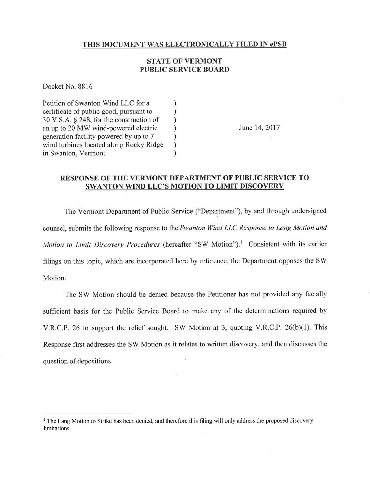## THIS DOCUMENT WAS ELECTRONICALLY FILED IN ePSB

## STATE OF VERMONT PUBLIC SERVICE BOARD

Docket No. 8816

Petition of Swanton Wind LLC for a () exertificate of public good, pursuant to () certificate of public good, pursuant to ) 30 V.S.A.  $\S$  248, for the construction of <br>an up to 20 MW wind-powered electric  $\qquad$ an up to 20 MW wind-powered electric generation facility powered by up to 7 ) wind turbines located along Rocky Ridge in Swanton, Vermont

June 14,2017

## RESPONSE OF THE VERMONT DEPARTMENT OF PUBLIC SERVICE TO SWANTON WIND LLC'S MOTION TO LIMIT DISCOVERY

The Vermont Department of Public Service ("Department"), by and through undersigned counsel, submits the following response to the Swanton Wind LLC Response to Lang Motion and Motion to Limit Discovery Procedures (hereafter "SW Motion").<sup>1</sup> Consistent with its earlier filings on this topic, which are incorporated here by reference, the Department opposes the SW Motion.

The SW Motion should be denied because the Petitioner has not provided any facially sufficient basis for the Public Service Board to make any of the determinations required by V.R.C.P. 26 to support the relief sought. SW Motion at 3, quoting V.R.C.P. 26(b)(1). This Response frrst addresses the SW Motion as it relates to written discovery, and then discusses the question of depositions.

<sup>&</sup>lt;sup>1</sup> The Lang Motion to Strike has been denied, and therefore this filing will only address the proposed discovery limitations.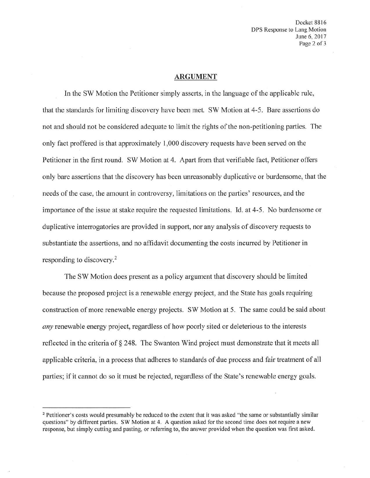Docket 8816 DPS Response to Lang Motion June 6,2017 Page 2 of 3

## ARGUMENT

In the SW Motion the Petitioner simply assefis, in the language of the applicable rule, that the standards for limiting discovery have been met. SW Motion at 4-5. Bare assertions do not and should not be considered adequate to limit the rights of the non-petitioning parties. The only fact proffered is that approximately 1,000 discovery requests have been served on the Petitioner in the first round. SW Motion at 4. Apart from that verifiable fact, Petitioner offers only bare assertions that the discovery has been unreasonably duplicative or burdensome, that the needs of the case, the amount in controversy, limitations on the parties' resources, and the importance of the issue at stake require the requested limitations. Id. at 4-5. No burdensome or duplicative interrogatories are provided in support, nor any analysis of discovery requests to substantiate the assertions, and no affidavit documenting the costs incurred by Petitioner in responding to discovery.2

The SW Motion does present as a policy argument that discovery should be limited because the proposed project is a renewable energy project, and the State has goals requiring construction of more renewable energy projects. SW Motion at 5. The same could be said about any renewable energy project, regardless of how poorly sited or deleterious to the interests reflected in the criteria of § 248. The Swanton Wind project must demonstrate that it meets all applicable criteria, in a process that adheres to standards of due process and fair treatment of all parties; if it cannot do so it must be rejected, regardless of the State's renewable energy goals.

<sup>&</sup>lt;sup>2</sup> Petitioner's costs would presumably be reduced to the extent that it was asked "the same or substantially similar questions" by different parties. SW Motion at 4. A question asked for the second time does not require a new response, but simply cutting and pasting, or referring to, the answer provided when the question was first asked.